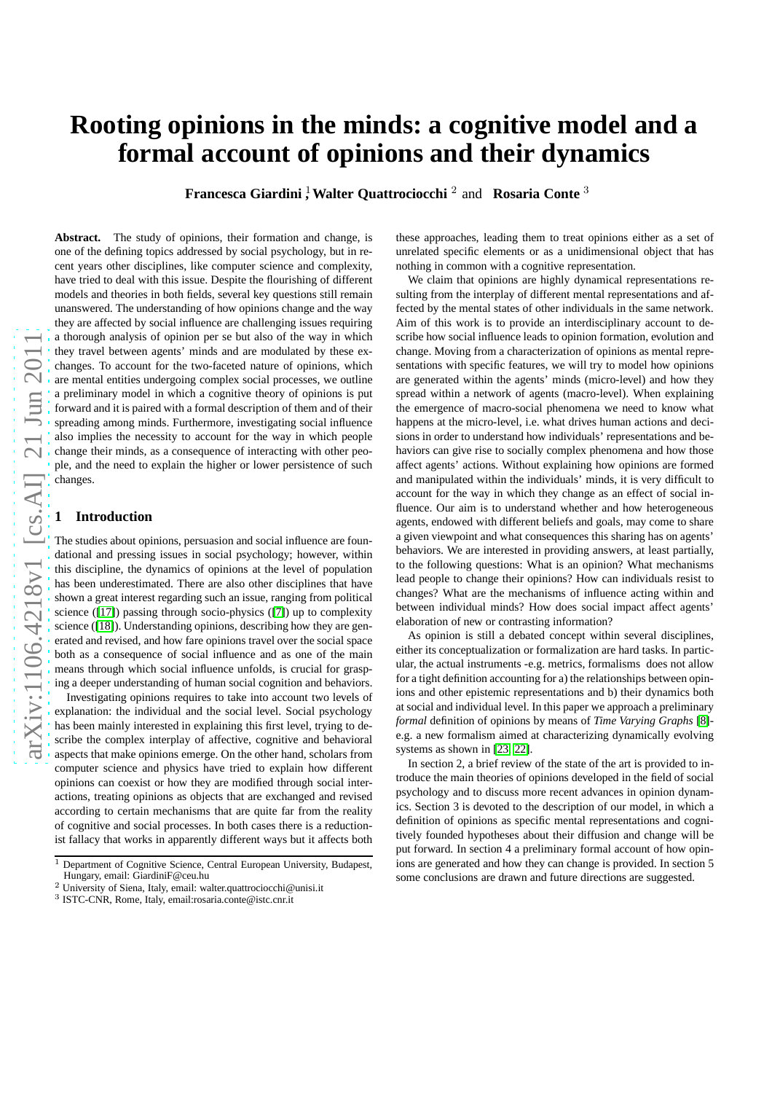# **Rooting opinions in the minds: a cognitive model and a formal account of opinions and their dynamics**

**Francesca Giardini**<sup>1</sup>, Walter Quattrociocchi<sup>2</sup> and Rosaria Conte<sup>3</sup>

arXiv:1106.4218v1 [cs.AI] 21 Jun 2011 [arXiv:1106.4218v1 \[cs.AI\] 21 Jun 2011](http://arxiv.org/abs/1106.4218v1)

**Abstract.** The study of opinions, their formation and change, is one of the defining topics addressed by social psychology, but in recent years other disciplines, like computer science and complexity, have tried to deal with this issue. Despite the flourishing of different models and theories in both fields, several key questions still remain unanswered. The understanding of how opinions change and the way they are affected by social influence are challenging issues requiring a thorough analysis of opinion per se but also of the way in which they travel between agents' minds and are modulated by these exchanges. To account for the two-faceted nature of opinions, which are mental entities undergoing complex social processes, we outline a preliminary model in which a cognitive theory of opinions is put forward and it is paired with a formal description of them and of their spreading among minds. Furthermore, investigating social influence also implies the necessity to account for the way in which people change their minds, as a consequence of interacting with other people, and the need to explain the higher or lower persistence of such changes.

## **1 Introduction**

The studies about opinions, persuasion and social influence are foundational and pressing issues in social psychology; however, within this discipline, the dynamics of opinions at the level of population has been underestimated. There are also other disciplines that have shown a great interest regarding such an issue, ranging from political science ([\[17\]](#page-4-0)) passing through socio-physics ([\[7\]](#page-4-1)) up to complexity science ([\[18\]](#page-4-2)). Understanding opinions, describing how they are generated and revised, and how fare opinions travel over the social space both as a consequence of social influence and as one of the main means through which social influence unfolds, is crucial for grasping a deeper understanding of human social cognition and behaviors.

Investigating opinions requires to take into account two levels of explanation: the individual and the social level. Social psychology has been mainly interested in explaining this first level, trying to describe the complex interplay of affective, cognitive and behavioral aspects that make opinions emerge. On the other hand, scholars from computer science and physics have tried to explain how different opinions can coexist or how they are modified through social interactions, treating opinions as objects that are exchanged and revised according to certain mechanisms that are quite far from the reality of cognitive and social processes. In both cases there is a reductionist fallacy that works in apparently different ways but it affects both these approaches, leading them to treat opinions either as a set of unrelated specific elements or as a unidimensional object that has nothing in common with a cognitive representation.

We claim that opinions are highly dynamical representations resulting from the interplay of different mental representations and affected by the mental states of other individuals in the same network. Aim of this work is to provide an interdisciplinary account to describe how social influence leads to opinion formation, evolution and change. Moving from a characterization of opinions as mental representations with specific features, we will try to model how opinions are generated within the agents' minds (micro-level) and how they spread within a network of agents (macro-level). When explaining the emergence of macro-social phenomena we need to know what happens at the micro-level, i.e. what drives human actions and decisions in order to understand how individuals' representations and behaviors can give rise to socially complex phenomena and how those affect agents' actions. Without explaining how opinions are formed and manipulated within the individuals' minds, it is very difficult to account for the way in which they change as an effect of social influence. Our aim is to understand whether and how heterogeneous agents, endowed with different beliefs and goals, may come to share a given viewpoint and what consequences this sharing has on agents' behaviors. We are interested in providing answers, at least partially, to the following questions: What is an opinion? What mechanisms lead people to change their opinions? How can individuals resist to changes? What are the mechanisms of influence acting within and between individual minds? How does social impact affect agents' elaboration of new or contrasting information?

As opinion is still a debated concept within several disciplines, either its conceptualization or formalization are hard tasks. In particular, the actual instruments -e.g. metrics, formalisms does not allow for a tight definition accounting for a) the relationships between opinions and other epistemic representations and b) their dynamics both at social and individual level. In this paper we approach a preliminary *formal* definition of opinions by means of *Time Varying Graphs* [\[8\]](#page-4-3) e.g. a new formalism aimed at characterizing dynamically evolving systems as shown in [\[23,](#page-4-4) [22\]](#page-4-5).

In section 2, a brief review of the state of the art is provided to introduce the main theories of opinions developed in the field of social psychology and to discuss more recent advances in opinion dynamics. Section 3 is devoted to the description of our model, in which a definition of opinions as specific mental representations and cognitively founded hypotheses about their diffusion and change will be put forward. In section 4 a preliminary formal account of how opinions are generated and how they can change is provided. In section 5 some conclusions are drawn and future directions are suggested.

 $\frac{1}{1}$  Department of Cognitive Science, Central European University, Budapest,

Hungary, email: GiardiniF@ceu.hu

<sup>2</sup> University of Siena, Italy, email: walter.quattrociocchi@unisi.it

<sup>3</sup> ISTC-CNR, Rome, Italy, email:rosaria.conte@istc.cnr.it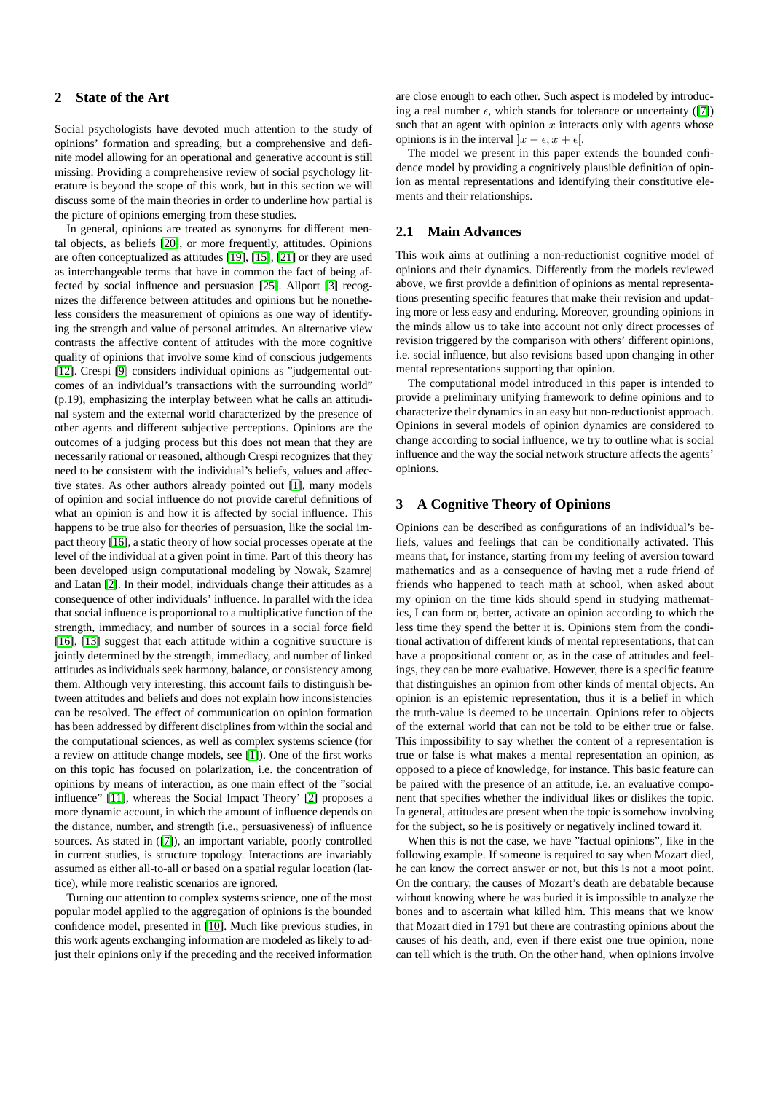# **2 State of the Art**

Social psychologists have devoted much attention to the study of opinions' formation and spreading, but a comprehensive and definite model allowing for an operational and generative account is still missing. Providing a comprehensive review of social psychology literature is beyond the scope of this work, but in this section we will discuss some of the main theories in order to underline how partial is the picture of opinions emerging from these studies.

In general, opinions are treated as synonyms for different mental objects, as beliefs [\[20\]](#page-4-6), or more frequently, attitudes. Opinions are often conceptualized as attitudes [\[19\]](#page-4-7), [\[15\]](#page-4-8), [\[21\]](#page-4-9) or they are used as interchangeable terms that have in common the fact of being affected by social influence and persuasion [\[25\]](#page-4-10). Allport [\[3\]](#page-4-11) recognizes the difference between attitudes and opinions but he nonetheless considers the measurement of opinions as one way of identifying the strength and value of personal attitudes. An alternative view contrasts the affective content of attitudes with the more cognitive quality of opinions that involve some kind of conscious judgements [\[12\]](#page-4-12). Crespi [\[9\]](#page-4-13) considers individual opinions as "judgemental outcomes of an individual's transactions with the surrounding world" (p.19), emphasizing the interplay between what he calls an attitudinal system and the external world characterized by the presence of other agents and different subjective perceptions. Opinions are the outcomes of a judging process but this does not mean that they are necessarily rational or reasoned, although Crespi recognizes that they need to be consistent with the individual's beliefs, values and affective states. As other authors already pointed out [\[1\]](#page-4-14), many models of opinion and social influence do not provide careful definitions of what an opinion is and how it is affected by social influence. This happens to be true also for theories of persuasion, like the social impact theory [\[16\]](#page-4-15), a static theory of how social processes operate at the level of the individual at a given point in time. Part of this theory has been developed usign computational modeling by Nowak, Szamrej and Latan [\[2\]](#page-4-16). In their model, individuals change their attitudes as a consequence of other individuals' influence. In parallel with the idea that social influence is proportional to a multiplicative function of the strength, immediacy, and number of sources in a social force field [\[16\]](#page-4-15), [\[13\]](#page-4-17) suggest that each attitude within a cognitive structure is jointly determined by the strength, immediacy, and number of linked attitudes as individuals seek harmony, balance, or consistency among them. Although very interesting, this account fails to distinguish between attitudes and beliefs and does not explain how inconsistencies can be resolved. The effect of communication on opinion formation has been addressed by different disciplines from within the social and the computational sciences, as well as complex systems science (for a review on attitude change models, see [\[1\]](#page-4-14)). One of the first works on this topic has focused on polarization, i.e. the concentration of opinions by means of interaction, as one main effect of the "social influence" [\[11\]](#page-4-18), whereas the Social Impact Theory' [\[2\]](#page-4-16) proposes a more dynamic account, in which the amount of influence depends on the distance, number, and strength (i.e., persuasiveness) of influence sources. As stated in ([\[7\]](#page-4-1)), an important variable, poorly controlled in current studies, is structure topology. Interactions are invariably assumed as either all-to-all or based on a spatial regular location (lattice), while more realistic scenarios are ignored.

Turning our attention to complex systems science, one of the most popular model applied to the aggregation of opinions is the bounded confidence model, presented in [\[10\]](#page-4-19). Much like previous studies, in this work agents exchanging information are modeled as likely to adjust their opinions only if the preceding and the received information are close enough to each other. Such aspect is modeled by introducing a real number  $\epsilon$ , which stands for tolerance or uncertainty ([\[7\]](#page-4-1)) such that an agent with opinion  $x$  interacts only with agents whose opinions is in the interval  $|x - \epsilon, x + \epsilon|$ .

The model we present in this paper extends the bounded confidence model by providing a cognitively plausible definition of opinion as mental representations and identifying their constitutive elements and their relationships.

## **2.1 Main Advances**

This work aims at outlining a non-reductionist cognitive model of opinions and their dynamics. Differently from the models reviewed above, we first provide a definition of opinions as mental representations presenting specific features that make their revision and updating more or less easy and enduring. Moreover, grounding opinions in the minds allow us to take into account not only direct processes of revision triggered by the comparison with others' different opinions, i.e. social influence, but also revisions based upon changing in other mental representations supporting that opinion.

The computational model introduced in this paper is intended to provide a preliminary unifying framework to define opinions and to characterize their dynamics in an easy but non-reductionist approach. Opinions in several models of opinion dynamics are considered to change according to social influence, we try to outline what is social influence and the way the social network structure affects the agents' opinions.

## **3 A Cognitive Theory of Opinions**

Opinions can be described as configurations of an individual's beliefs, values and feelings that can be conditionally activated. This means that, for instance, starting from my feeling of aversion toward mathematics and as a consequence of having met a rude friend of friends who happened to teach math at school, when asked about my opinion on the time kids should spend in studying mathematics, I can form or, better, activate an opinion according to which the less time they spend the better it is. Opinions stem from the conditional activation of different kinds of mental representations, that can have a propositional content or, as in the case of attitudes and feelings, they can be more evaluative. However, there is a specific feature that distinguishes an opinion from other kinds of mental objects. An opinion is an epistemic representation, thus it is a belief in which the truth-value is deemed to be uncertain. Opinions refer to objects of the external world that can not be told to be either true or false. This impossibility to say whether the content of a representation is true or false is what makes a mental representation an opinion, as opposed to a piece of knowledge, for instance. This basic feature can be paired with the presence of an attitude, i.e. an evaluative component that specifies whether the individual likes or dislikes the topic. In general, attitudes are present when the topic is somehow involving for the subject, so he is positively or negatively inclined toward it.

When this is not the case, we have "factual opinions", like in the following example. If someone is required to say when Mozart died, he can know the correct answer or not, but this is not a moot point. On the contrary, the causes of Mozart's death are debatable because without knowing where he was buried it is impossible to analyze the bones and to ascertain what killed him. This means that we know that Mozart died in 1791 but there are contrasting opinions about the causes of his death, and, even if there exist one true opinion, none can tell which is the truth. On the other hand, when opinions involve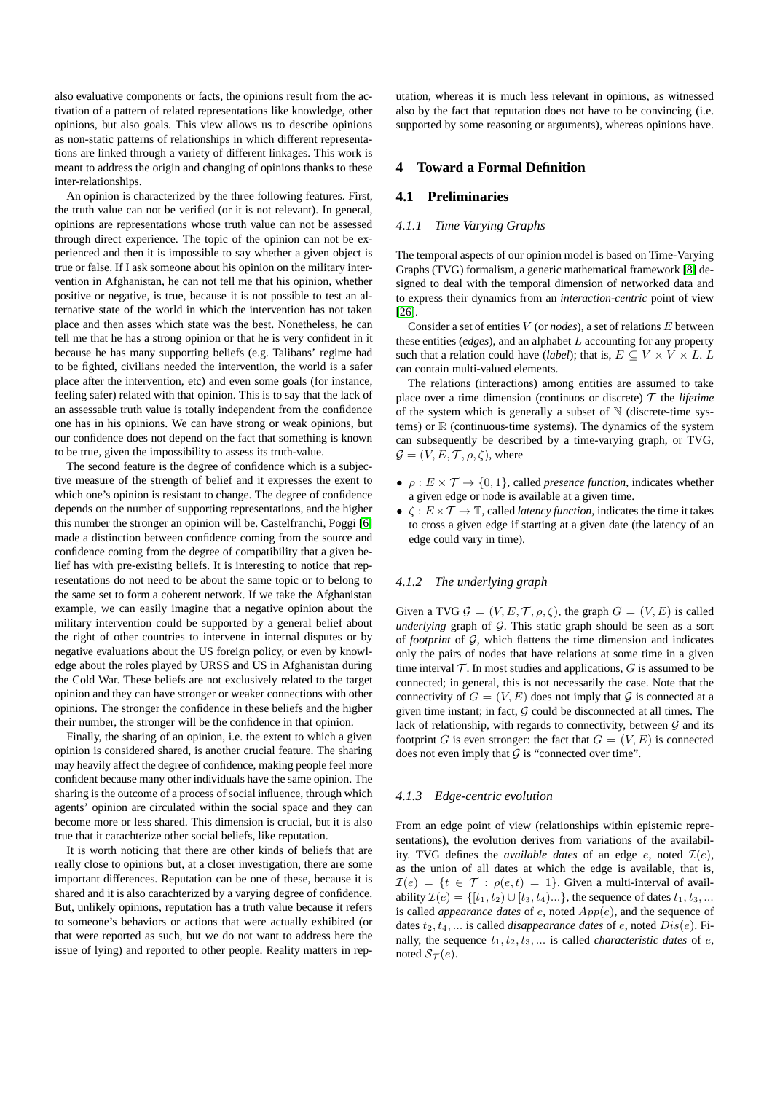also evaluative components or facts, the opinions result from the activation of a pattern of related representations like knowledge, other opinions, but also goals. This view allows us to describe opinions as non-static patterns of relationships in which different representations are linked through a variety of different linkages. This work is meant to address the origin and changing of opinions thanks to these inter-relationships.

An opinion is characterized by the three following features. First, the truth value can not be verified (or it is not relevant). In general, opinions are representations whose truth value can not be assessed through direct experience. The topic of the opinion can not be experienced and then it is impossible to say whether a given object is true or false. If I ask someone about his opinion on the military intervention in Afghanistan, he can not tell me that his opinion, whether positive or negative, is true, because it is not possible to test an alternative state of the world in which the intervention has not taken place and then asses which state was the best. Nonetheless, he can tell me that he has a strong opinion or that he is very confident in it because he has many supporting beliefs (e.g. Talibans' regime had to be fighted, civilians needed the intervention, the world is a safer place after the intervention, etc) and even some goals (for instance, feeling safer) related with that opinion. This is to say that the lack of an assessable truth value is totally independent from the confidence one has in his opinions. We can have strong or weak opinions, but our confidence does not depend on the fact that something is known to be true, given the impossibility to assess its truth-value.

The second feature is the degree of confidence which is a subjective measure of the strength of belief and it expresses the exent to which one's opinion is resistant to change. The degree of confidence depends on the number of supporting representations, and the higher this number the stronger an opinion will be. Castelfranchi, Poggi [\[6\]](#page-4-20) made a distinction between confidence coming from the source and confidence coming from the degree of compatibility that a given belief has with pre-existing beliefs. It is interesting to notice that representations do not need to be about the same topic or to belong to the same set to form a coherent network. If we take the Afghanistan example, we can easily imagine that a negative opinion about the military intervention could be supported by a general belief about the right of other countries to intervene in internal disputes or by negative evaluations about the US foreign policy, or even by knowledge about the roles played by URSS and US in Afghanistan during the Cold War. These beliefs are not exclusively related to the target opinion and they can have stronger or weaker connections with other opinions. The stronger the confidence in these beliefs and the higher their number, the stronger will be the confidence in that opinion.

Finally, the sharing of an opinion, i.e. the extent to which a given opinion is considered shared, is another crucial feature. The sharing may heavily affect the degree of confidence, making people feel more confident because many other individuals have the same opinion. The sharing is the outcome of a process of social influence, through which agents' opinion are circulated within the social space and they can become more or less shared. This dimension is crucial, but it is also true that it carachterize other social beliefs, like reputation.

It is worth noticing that there are other kinds of beliefs that are really close to opinions but, at a closer investigation, there are some important differences. Reputation can be one of these, because it is shared and it is also carachterized by a varying degree of confidence. But, unlikely opinions, reputation has a truth value because it refers to someone's behaviors or actions that were actually exhibited (or that were reported as such, but we do not want to address here the issue of lying) and reported to other people. Reality matters in reputation, whereas it is much less relevant in opinions, as witnessed also by the fact that reputation does not have to be convincing (i.e. supported by some reasoning or arguments), whereas opinions have.

## **4 Toward a Formal Definition**

## **4.1 Preliminaries**

## *4.1.1 Time Varying Graphs*

The temporal aspects of our opinion model is based on Time-Varying Graphs (TVG) formalism, a generic mathematical framework [\[8\]](#page-4-3) designed to deal with the temporal dimension of networked data and to express their dynamics from an *interaction-centric* point of view [\[26\]](#page-4-21).

Consider a set of entities V (or *nodes*), a set of relations E between these entities (*edges*), and an alphabet L accounting for any property such that a relation could have (*label*); that is,  $E \subseteq V \times V \times L$ . L can contain multi-valued elements.

The relations (interactions) among entities are assumed to take place over a time dimension (continuos or discrete)  $T$  the *lifetime* of the system which is generally a subset of  $\mathbb N$  (discrete-time systems) or  $\mathbb R$  (continuous-time systems). The dynamics of the system can subsequently be described by a time-varying graph, or TVG,  $\mathcal{G} = (V, E, \mathcal{T}, \rho, \zeta)$ , where

- $\rho: E \times \mathcal{T} \to \{0, 1\}$ , called *presence function*, indicates whether a given edge or node is available at a given time.
- $\zeta : E \times \mathcal{T} \to \mathbb{T}$ , called *latency function*, indicates the time it takes to cross a given edge if starting at a given date (the latency of an edge could vary in time).

### *4.1.2 The underlying graph*

Given a TVG  $\mathcal{G} = (V, E, \mathcal{T}, \rho, \zeta)$ , the graph  $G = (V, E)$  is called *underlying* graph of G. This static graph should be seen as a sort of *footprint* of G, which flattens the time dimension and indicates only the pairs of nodes that have relations at some time in a given time interval  $T$ . In most studies and applications,  $G$  is assumed to be connected; in general, this is not necessarily the case. Note that the connectivity of  $G = (V, E)$  does not imply that G is connected at a given time instant; in fact,  $G$  could be disconnected at all times. The lack of relationship, with regards to connectivity, between  $G$  and its footprint G is even stronger: the fact that  $G = (V, E)$  is connected does not even imply that  $G$  is "connected over time".

#### *4.1.3 Edge-centric evolution*

From an edge point of view (relationships within epistemic representations), the evolution derives from variations of the availability. TVG defines the *available dates* of an edge  $e$ , noted  $\mathcal{I}(e)$ , as the union of all dates at which the edge is available, that is,  $\mathcal{I}(e) = \{t \in \mathcal{T} : \rho(e,t) = 1\}$ . Given a multi-interval of availability  $\mathcal{I}(e) = \{ [t_1, t_2) \cup [t_3, t_4] \dots \}$ , the sequence of dates  $t_1, t_3, \dots$ is called *appearance dates* of e, noted App(e), and the sequence of dates  $t_2, t_4, ...$  is called *disappearance dates* of e, noted  $Dis(e)$ . Finally, the sequence  $t_1, t_2, t_3, \ldots$  is called *characteristic dates* of *e*, noted  $S_{\mathcal{T}}(e)$ .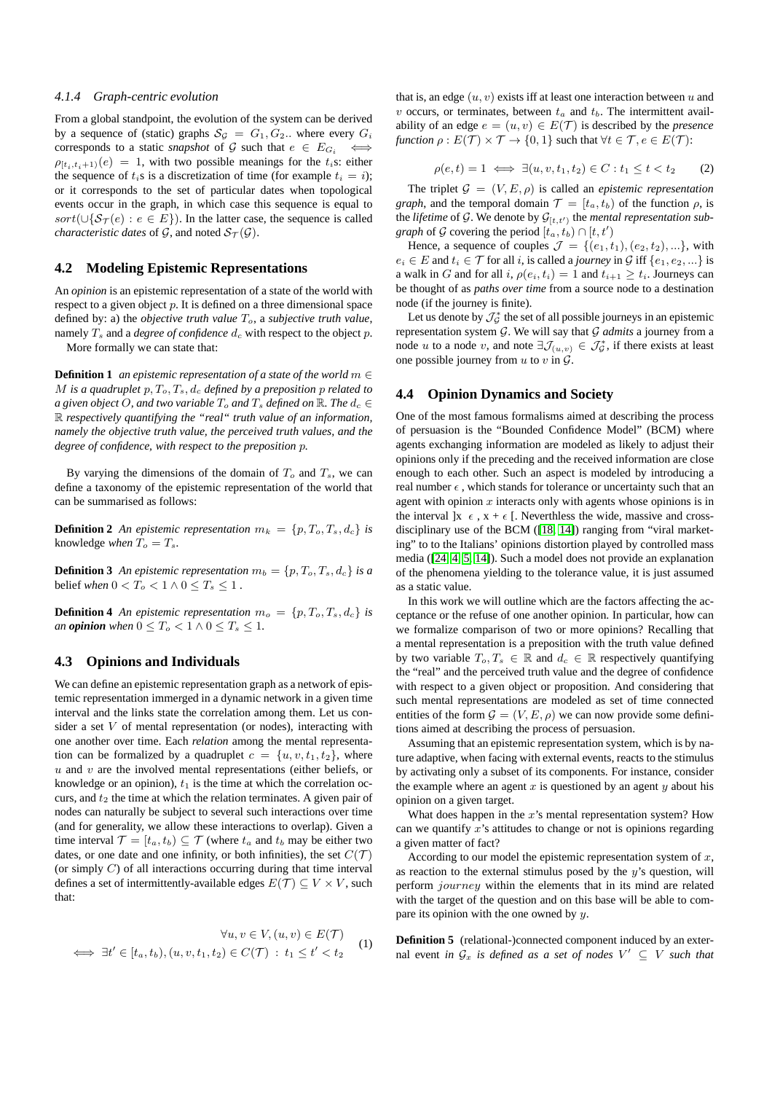#### *4.1.4 Graph-centric evolution*

From a global standpoint, the evolution of the system can be derived by a sequence of (static) graphs  $S_{\mathcal{G}} = G_1, G_2$ . where every  $G_i$ corresponds to a static *snapshot* of G such that  $e \in E_{G_i} \iff$  $\rho_{[t_i,t_i+1)}(e) = 1$ , with two possible meanings for the  $t_i$ s: either the sequence of  $t_i$ s is a discretization of time (for example  $t_i = i$ ); or it corresponds to the set of particular dates when topological events occur in the graph, in which case this sequence is equal to sort(∪{ $S_{\mathcal{T}}(e) : e \in E$ }). In the latter case, the sequence is called *characteristic dates* of  $\mathcal{G}$ , and noted  $\mathcal{S}_{\mathcal{T}}(\mathcal{G})$ .

## **4.2 Modeling Epistemic Representations**

An *opinion* is an epistemic representation of a state of the world with respect to a given object  $p$ . It is defined on a three dimensional space defined by: a) the *objective truth value*  $T_o$ , a *subjective truth value*, namely  $T_s$  and a *degree of confidence*  $d_c$  with respect to the object  $p$ .

More formally we can state that:

**Definition 1** *an epistemic representation of a state of the world*  $m \in$ M is a quadruplet  $p, T_o, T_s, d_c$  defined by a preposition p related to *a* given object O, and two variable  $T_o$  and  $T_s$  defined on  $\mathbb{R}$ . The  $d_c \in$ R *respectively quantifying the "real" truth value of an information, namely the objective truth value, the perceived truth values, and the degree of confidence, with respect to the preposition* p*.*

By varying the dimensions of the domain of  $T<sub>o</sub>$  and  $T<sub>s</sub>$ , we can define a taxonomy of the epistemic representation of the world that can be summarised as follows:

**Definition 2** An epistemic representation  $m_k = \{p, T_o, T_s, d_c\}$  is knowledge *when*  $T_o = T_s$ .

**Definition 3** An epistemic representation  $m_b = \{p, T_o, T_s, d_c\}$  is a belief *when*  $0 < T_o < 1 \wedge 0 \le T_s \le 1$ .

**Definition 4** An epistemic representation  $m_o = \{p, T_o, T_s, d_c\}$  is *an* **opinion** when  $0 \leq T_o < 1 \wedge 0 \leq T_s \leq 1$ .

## **4.3 Opinions and Individuals**

We can define an epistemic representation graph as a network of epistemic representation immerged in a dynamic network in a given time interval and the links state the correlation among them. Let us consider a set  $V$  of mental representation (or nodes), interacting with one another over time. Each *relation* among the mental representation can be formalized by a quadruplet  $c = \{u, v, t_1, t_2\}$ , where  $u$  and  $v$  are the involved mental representations (either beliefs, or knowledge or an opinion),  $t_1$  is the time at which the correlation occurs, and  $t_2$  the time at which the relation terminates. A given pair of nodes can naturally be subject to several such interactions over time (and for generality, we allow these interactions to overlap). Given a time interval  $\mathcal{T} = [t_a, t_b) \subseteq \mathcal{T}$  (where  $t_a$  and  $t_b$  may be either two dates, or one date and one infinity, or both infinities), the set  $C(\mathcal{T})$ (or simply  $C$ ) of all interactions occurring during that time interval defines a set of intermittently-available edges  $E(\mathcal{T}) \subseteq V \times V$ , such that:

$$
\forall u, v \in V, (u, v) \in E(\mathcal{T})
$$
  

$$
\iff \exists t' \in [t_a, t_b), (u, v, t_1, t_2) \in C(\mathcal{T}) : t_1 \le t' < t_2
$$
 (1)

that is, an edge  $(u, v)$  exists iff at least one interaction between u and v occurs, or terminates, between  $t_a$  and  $t_b$ . The intermittent availability of an edge  $e = (u, v) \in E(\mathcal{T})$  is described by the *presence function*  $\rho$  :  $E(\mathcal{T}) \times \mathcal{T} \rightarrow \{0, 1\}$  such that  $\forall t \in \mathcal{T}, e \in E(\mathcal{T})$ :

 $\rho(e, t) = 1 \iff \exists (u, v, t_1, t_2) \in C : t_1 \leq t < t_2$  (2)

The triplet  $\mathcal{G} = (V, E, \rho)$  is called an *epistemic representation graph*, and the temporal domain  $\mathcal{T} = [t_a, t_b]$  of the function  $\rho$ , is the *lifetime* of G. We denote by  $G_{[t,t']}$  the *mental representation subgraph* of G covering the period  $[t_a, t_b) \cap [t, t')$ 

Hence, a sequence of couples  $\mathcal{J} = \{(e_1, t_1), (e_2, t_2), ...\}$ , with  $e_i \in E$  and  $t_i \in \mathcal{T}$  for all i, is called a *journey* in  $\mathcal{G}$  iff  $\{e_1, e_2, ...\}$  is a walk in G and for all i,  $\rho(e_i, t_i) = 1$  and  $t_{i+1} \geq t_i$ . Journeys can be thought of as *paths over time* from a source node to a destination node (if the journey is finite).

Let us denote by  $\mathcal{J}_{\mathcal{G}}^*$  the set of all possible journeys in an epistemic representation system G. We will say that G *admits* a journey from a node u to a node v, and note  $\exists \mathcal{J}_{(u,v)} \in \mathcal{J}_{\mathcal{G}}^*$ , if there exists at least one possible journey from  $u$  to  $v$  in  $\mathcal{G}$ .

## **4.4 Opinion Dynamics and Society**

One of the most famous formalisms aimed at describing the process of persuasion is the "Bounded Confidence Model" (BCM) where agents exchanging information are modeled as likely to adjust their opinions only if the preceding and the received information are close enough to each other. Such an aspect is modeled by introducing a real number  $\epsilon$  , which stands for tolerance or uncertainty such that an agent with opinion  $x$  interacts only with agents whose opinions is in the interval  $x \in \{x, x + \epsilon\}$ . Neverthless the wide, massive and crossdisciplinary use of the BCM ([\[18,](#page-4-2) [14\]](#page-4-22)) ranging from "viral marketing" to to the Italians' opinions distortion played by controlled mass media ([\[24,](#page-4-23) [4,](#page-4-24) [5,](#page-4-25) [14\]](#page-4-22)). Such a model does not provide an explanation of the phenomena yielding to the tolerance value, it is just assumed as a static value.

In this work we will outline which are the factors affecting the acceptance or the refuse of one another opinion. In particular, how can we formalize comparison of two or more opinions? Recalling that a mental representation is a preposition with the truth value defined by two variable  $T_o, T_s \in \mathbb{R}$  and  $d_c \in \mathbb{R}$  respectively quantifying the "real" and the perceived truth value and the degree of confidence with respect to a given object or proposition. And considering that such mental representations are modeled as set of time connected entities of the form  $\mathcal{G} = (V, E, \rho)$  we can now provide some definitions aimed at describing the process of persuasion.

Assuming that an epistemic representation system, which is by nature adaptive, when facing with external events, reacts to the stimulus by activating only a subset of its components. For instance, consider the example where an agent  $x$  is questioned by an agent  $y$  about his opinion on a given target.

What does happen in the  $x$ 's mental representation system? How can we quantify  $x$ 's attitudes to change or not is opinions regarding a given matter of fact?

According to our model the epistemic representation system of  $x$ , as reaction to the external stimulus posed by the  $y$ 's question, will perform journey within the elements that in its mind are related with the target of the question and on this base will be able to compare its opinion with the one owned by  $y$ .

**Definition 5** (relational-)connected component induced by an external event *in*  $\mathcal{G}_x$  *is defined as a set of nodes*  $V' \subseteq V$  *such that*